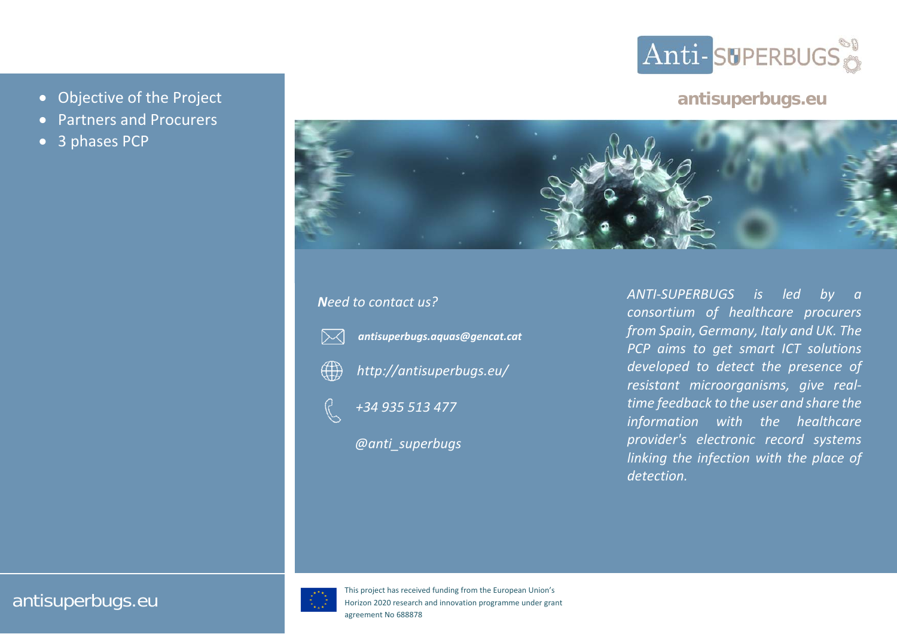

## **antisuperbugs.eu**

- Objective of the Project
- O Partners and Procurers
- $\bullet$ • 3 phases PCP



## *Need to contact us?*





*http://antisuperbugs.eu/*

*antisuperbugs.aquas@gencat.cat*

*+34 935 513 477*

*@anti\_superbugs*

*ANTI‐SUPERBUGS is led by <sup>a</sup> consortium of healthcare procurers from Spain, Germany, Italy and UK. The PCP aims to get smart ICT solutions developed to detect the presence of resistant microorganisms, give real‐ time feedback to the user and share the information with the healthcare provider's electronic record systems linking the infection with the place of detection.*

## antisuperbugs.eu